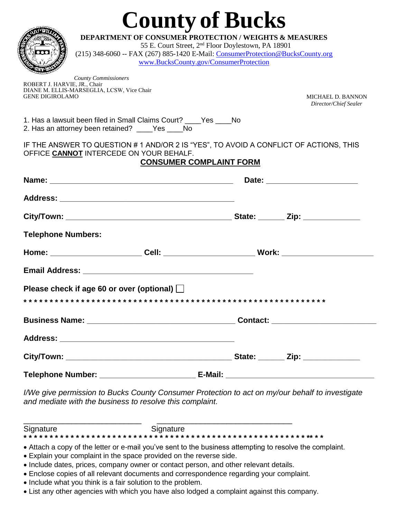|                              |                                                                                                                                  | <b>County of Bucks</b>                                         |                          |  |
|------------------------------|----------------------------------------------------------------------------------------------------------------------------------|----------------------------------------------------------------|--------------------------|--|
|                              | <b>DEPARTMENT OF CONSUMER PROTECTION / WEIGHTS &amp; MEASURES</b>                                                                |                                                                |                          |  |
| $\overline{\mathbf{O}}$      | (215) 348-6060 -- FAX (267) 885-1420 E-Mail: ConsumerProtection@BucksCounty.org                                                  | 55 E. Court Street, 2 <sup>nd</sup> Floor Doylestown, PA 18901 |                          |  |
|                              |                                                                                                                                  | www.BucksCounty.gov/ConsumerProtection                         |                          |  |
|                              |                                                                                                                                  |                                                                |                          |  |
| ROBERT J. HARVIE, JR., Chair | <b>County Commissioners</b>                                                                                                      |                                                                |                          |  |
| <b>GENE DIGIROLAMO</b>       | DIANE M. ELLIS-MARSEGLIA, LCSW, Vice Chair                                                                                       |                                                                | <b>MICHAEL D. BANNON</b> |  |
|                              |                                                                                                                                  |                                                                | Director/Chief Sealer    |  |
|                              | 1. Has a lawsuit been filed in Small Claims Court? ____Yes ____No<br>2. Has an attorney been retained? _____Yes _____No          |                                                                |                          |  |
|                              | IF THE ANSWER TO QUESTION # 1 AND/OR 2 IS "YES", TO AVOID A CONFLICT OF ACTIONS, THIS<br>OFFICE CANNOT INTERCEDE ON YOUR BEHALF. | <b>CONSUMER COMPLAINT FORM</b>                                 |                          |  |
|                              |                                                                                                                                  |                                                                |                          |  |
|                              |                                                                                                                                  |                                                                |                          |  |
|                              |                                                                                                                                  |                                                                |                          |  |
|                              |                                                                                                                                  |                                                                |                          |  |
| <b>Telephone Numbers:</b>    |                                                                                                                                  |                                                                |                          |  |
|                              | Home: _______________________Cell: ____________________________Work: ______________________________                              |                                                                |                          |  |
|                              |                                                                                                                                  |                                                                |                          |  |
|                              | Please check if age 60 or over (optional)                                                                                        |                                                                |                          |  |
|                              |                                                                                                                                  |                                                                |                          |  |
|                              |                                                                                                                                  |                                                                |                          |  |
|                              |                                                                                                                                  |                                                                |                          |  |
|                              |                                                                                                                                  |                                                                |                          |  |
|                              |                                                                                                                                  |                                                                |                          |  |

*I/We give permission to Bucks County Consumer Protection to act on my/our behalf to investigate and mediate with the business to resolve this complaint.* 

\_\_\_\_\_\_\_\_\_\_\_\_\_\_\_\_\_\_\_\_\_\_\_\_\_\_\_ \_\_\_\_\_\_\_\_\_\_\_\_\_\_\_\_\_\_\_\_\_\_\_\_\_\_\_\_\_\_\_ Signature Signature **\* \* \* \* \* \* \* \* \* \* \* \* \* \* \* \* \* \* \* \* \* \* \* \* \* \* \* \* \* \* \* \* \* \* \* \* \* \* \* \* \* \* \* \* \* \* \* \* \* \* \* \* \* \* \*\* \* \*** 

- Attach a copy of the letter or e-mail you've sent to the business attempting to resolve the complaint.
- Explain your complaint in the space provided on the reverse side.
- Include dates, prices, company owner or contact person, and other relevant details.
- Enclose copies of all relevant documents and correspondence regarding your complaint.
- Include what you think is a fair solution to the problem.
- List any other agencies with which you have also lodged a complaint against this company.